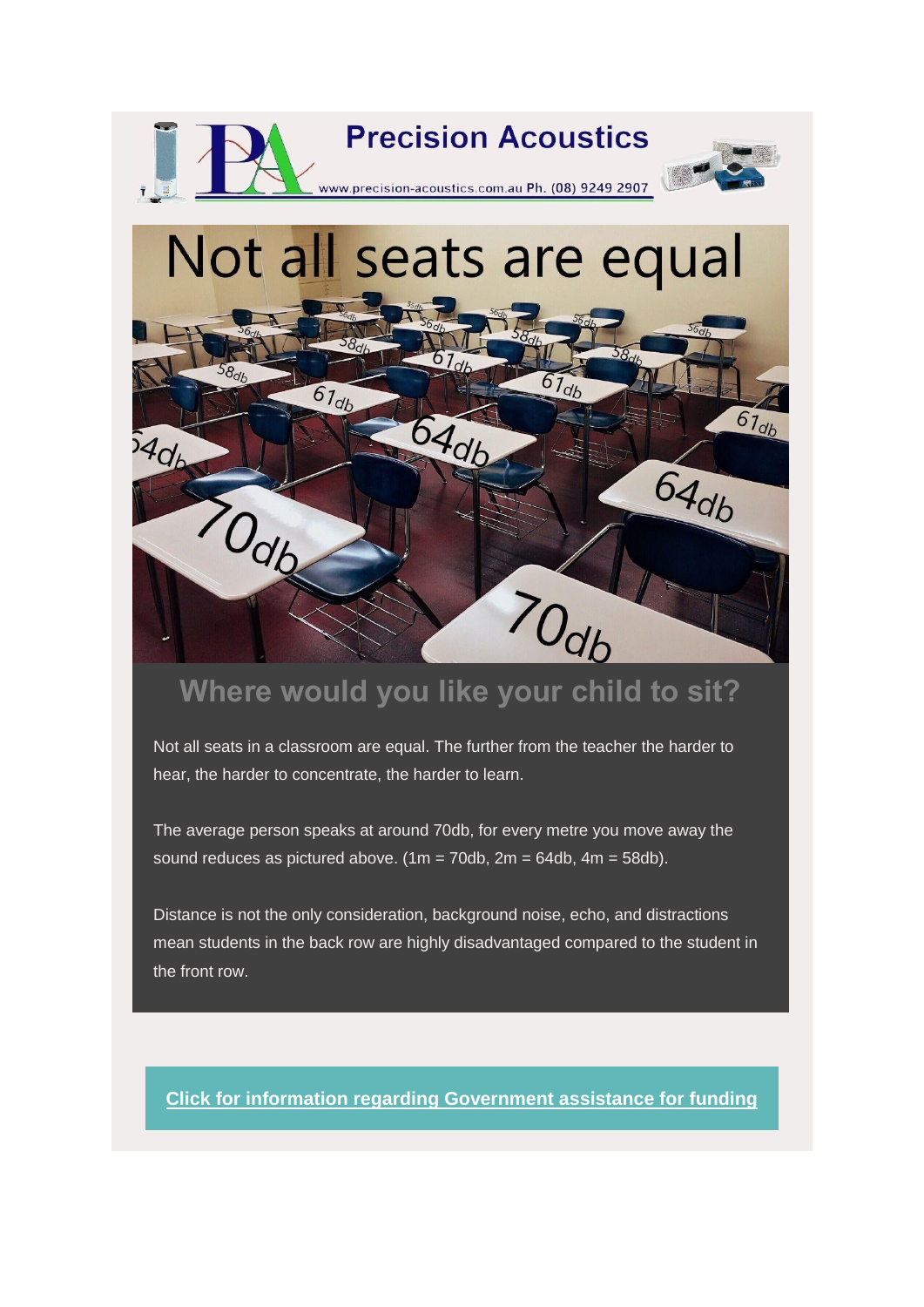

 $54d_b$ 

Odb

## **Where would you like your child to sit?**

70db

64db

Not all seats in a classroom are equal. The further from the teacher the harder to hear, the harder to concentrate, the harder to learn.

The average person speaks at around 70db, for every metre you move away the sound reduces as pictured above.  $(1m = 70db, 2m = 64db, 4m = 58db)$ .

Distance is not the only consideration, background noise, echo, and distractions mean students in the back row are highly disadvantaged compared to the student in the front row.

**Click [for information regarding Government assistance for funding](https://us13.mailchimp.com/mctx/click?url=https%3A%2F%2Fwww.education.gov.au%2Flocal-schools-community-fund&xid=8780ca8612&uid=57452085&pool=&subject=)**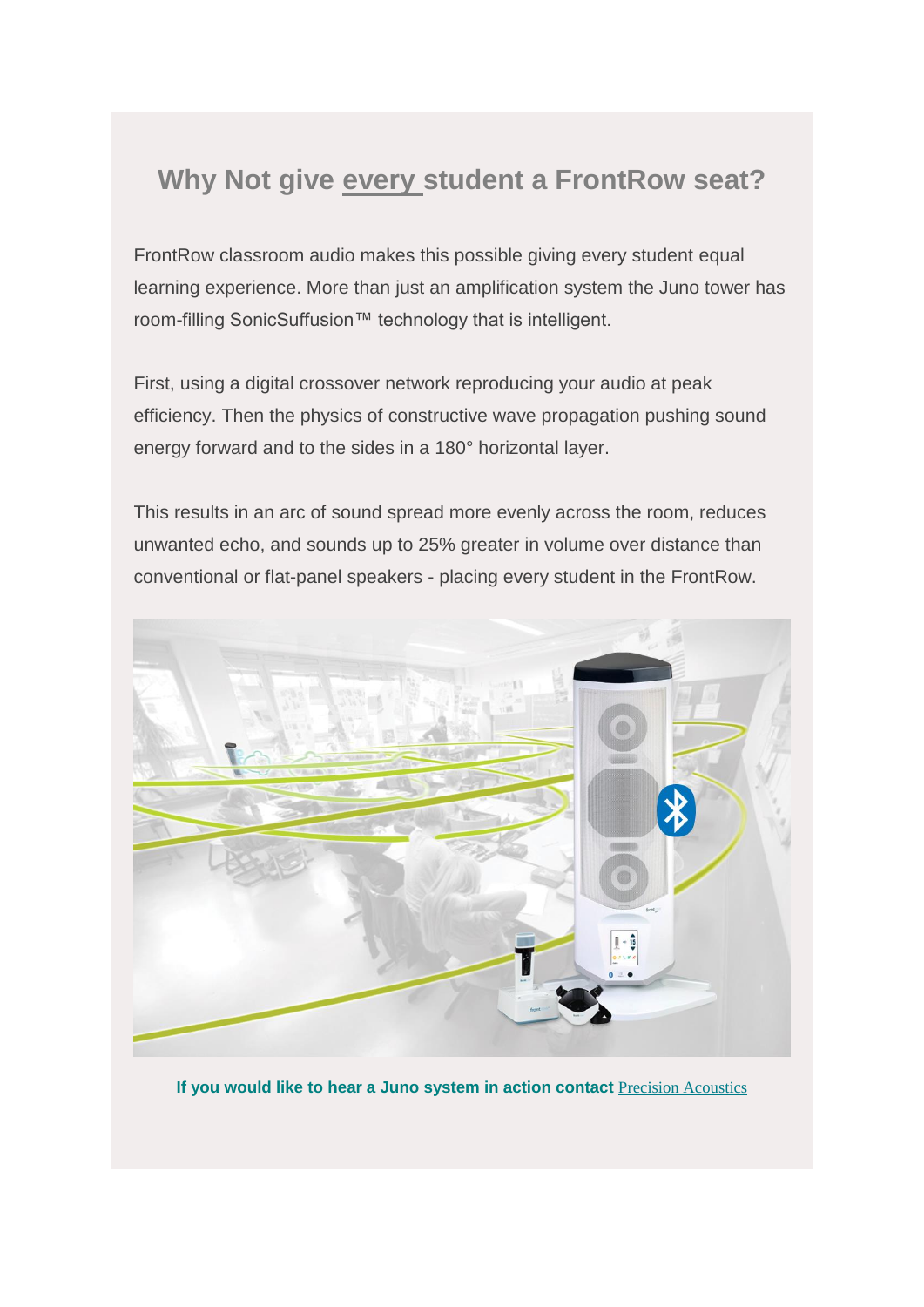## **Why Not give every student a FrontRow seat?**

FrontRow classroom audio makes this possible giving every student equal learning experience. More than just an amplification system the Juno tower has room-filling SonicSuffusion™ technology that is intelligent.

First, using a digital crossover network reproducing your audio at peak efficiency. Then the physics of constructive wave propagation pushing sound energy forward and to the sides in a 180° horizontal layer.

This results in an arc of sound spread more evenly across the room, reduces unwanted echo, and sounds up to 25% greater in volume over distance than conventional or flat-panel speakers - placing every student in the FrontRow.



**If you would like to hear a Juno system in action contact** [Precision Acoustics](https://us13.mailchimp.com/mctx/click?url=http%3A%2F%2Fwww.precision-acoustics.com.au%2Fequipment%2Fclassroom-soundfield-systems&xid=8780ca8612&uid=57452085&pool=&subject=)